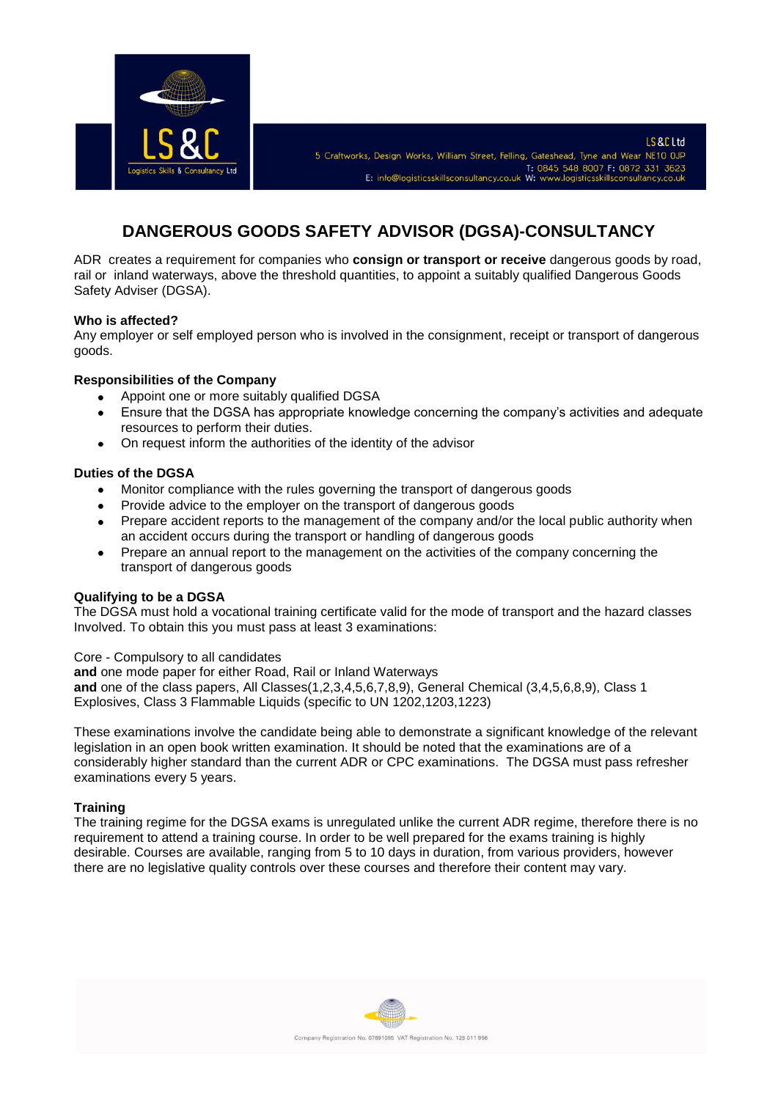

# **DANGEROUS GOODS SAFETY ADVISOR (DGSA)-CONSULTANCY**

ADR creates a requirement for companies who **consign or transport or receive** dangerous goods by road, rail or inland waterways, above the threshold quantities, to appoint a suitably qualified Dangerous Goods Safety Adviser (DGSA).

## **Who is affected?**

Any employer or self employed person who is involved in the consignment, receipt or transport of dangerous goods.

## **Responsibilities of the Company**

- Appoint one or more suitably qualified DGSA
- Ensure that the DGSA has appropriate knowledge concerning the company's activities and adequate  $\bullet$ resources to perform their duties.
- On request inform the authorities of the identity of the advisor

## **Duties of the DGSA**

- Monitor compliance with the rules governing the transport of dangerous goods
- Provide advice to the employer on the transport of dangerous goods
- Prepare accident reports to the management of the company and/or the local public authority when  $\bullet$ an accident occurs during the transport or handling of dangerous goods
- Prepare an annual report to the management on the activities of the company concerning the  $\bullet$ transport of dangerous goods

#### **Qualifying to be a DGSA**

The DGSA must hold a vocational training certificate valid for the mode of transport and the hazard classes Involved. To obtain this you must pass at least 3 examinations:

Core - Compulsory to all candidates

**and** one mode paper for either Road, Rail or Inland Waterways **and** one of the class papers, All Classes(1,2,3,4,5,6,7,8,9), General Chemical (3,4,5,6,8,9), Class 1 Explosives, Class 3 Flammable Liquids (specific to UN 1202,1203,1223)

These examinations involve the candidate being able to demonstrate a significant knowledge of the relevant legislation in an open book written examination. It should be noted that the examinations are of a considerably higher standard than the current ADR or CPC examinations. The DGSA must pass refresher examinations every 5 years.

#### **Training**

The training regime for the DGSA exams is unregulated unlike the current ADR regime, therefore there is no requirement to attend a training course. In order to be well prepared for the exams training is highly desirable. Courses are available, ranging from 5 to 10 days in duration, from various providers, however there are no legislative quality controls over these courses and therefore their content may vary.

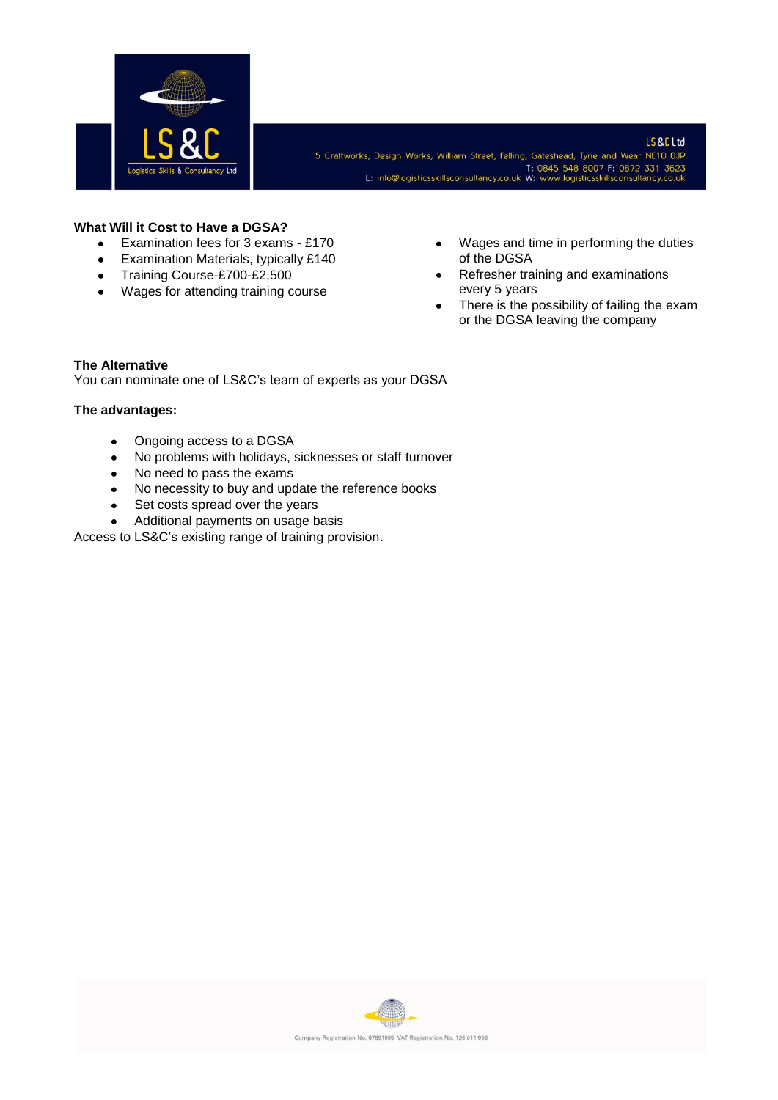

## **What Will it Cost to Have a DGSA?**

- Examination fees for 3 exams £170  $\bullet$
- Examination Materials, typically £140  $\bullet$
- Training Course-£700-£2,500
- Wages for attending training course
- Wages and time in performing the duties of the DGSA
- Refresher training and examinations every 5 years
- There is the possibility of failing the exam or the DGSA leaving the company

# **The Alternative**

You can nominate one of LS&C's team of experts as your DGSA

# **The advantages:**

- Ongoing access to a DGSA  $\bullet$
- No problems with holidays, sicknesses or staff turnover
- No need to pass the exams
- No necessity to buy and update the reference books
- Set costs spread over the years
- Additional payments on usage basis

Access to LS&C's existing range of training provision.